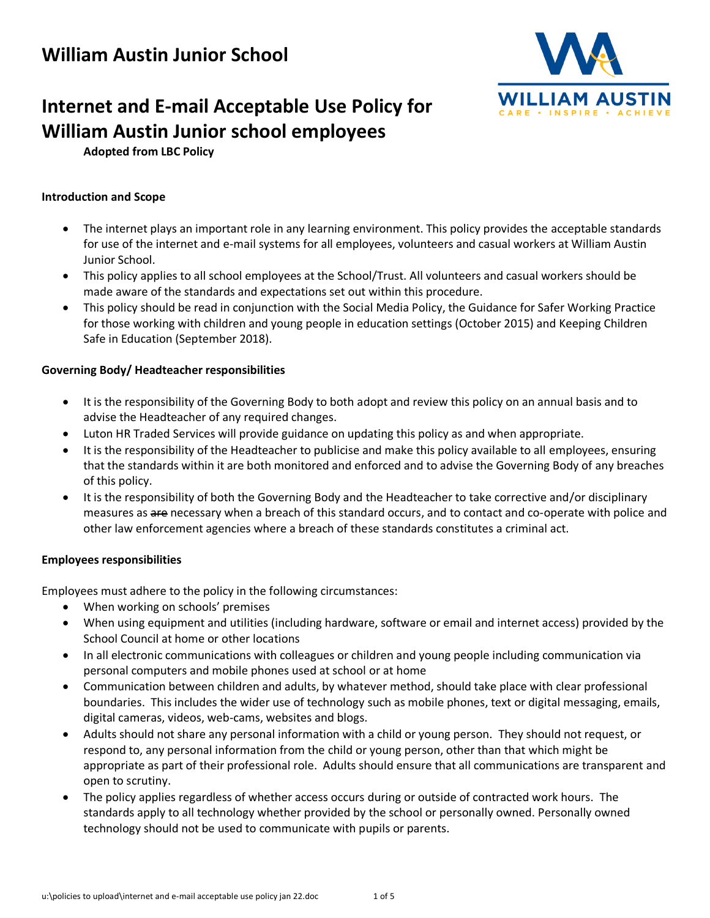

# **Internet and E-mail Acceptable Use Policy for William Austin Junior school employees**

**Adopted from LBC Policy** 

#### **Introduction and Scope**

- The internet plays an important role in any learning environment. This policy provides the acceptable standards for use of the internet and e-mail systems for all employees, volunteers and casual workers at William Austin Junior School.
- This policy applies to all school employees at the School/Trust. All volunteers and casual workers should be made aware of the standards and expectations set out within this procedure.
- This policy should be read in conjunction with the Social Media Policy, the Guidance for Safer Working Practice for those working with children and young people in education settings (October 2015) and Keeping Children Safe in Education (September 2018).

#### **Governing Body/ Headteacher responsibilities**

- It is the responsibility of the Governing Body to both adopt and review this policy on an annual basis and to advise the Headteacher of any required changes.
- Luton HR Traded Services will provide guidance on updating this policy as and when appropriate.
- It is the responsibility of the Headteacher to publicise and make this policy available to all employees, ensuring that the standards within it are both monitored and enforced and to advise the Governing Body of any breaches of this policy.
- It is the responsibility of both the Governing Body and the Headteacher to take corrective and/or disciplinary measures as are necessary when a breach of this standard occurs, and to contact and co-operate with police and other law enforcement agencies where a breach of these standards constitutes a criminal act.

#### **Employees responsibilities**

Employees must adhere to the policy in the following circumstances:

- When working on schools' premises
- When using equipment and utilities (including hardware, software or email and internet access) provided by the School Council at home or other locations
- In all electronic communications with colleagues or children and young people including communication via personal computers and mobile phones used at school or at home
- Communication between children and adults, by whatever method, should take place with clear professional boundaries. This includes the wider use of technology such as mobile phones, text or digital messaging, emails, digital cameras, videos, web-cams, websites and blogs.
- Adults should not share any personal information with a child or young person. They should not request, or respond to, any personal information from the child or young person, other than that which might be appropriate as part of their professional role. Adults should ensure that all communications are transparent and open to scrutiny.
- The policy applies regardless of whether access occurs during or outside of contracted work hours. The standards apply to all technology whether provided by the school or personally owned. Personally owned technology should not be used to communicate with pupils or parents.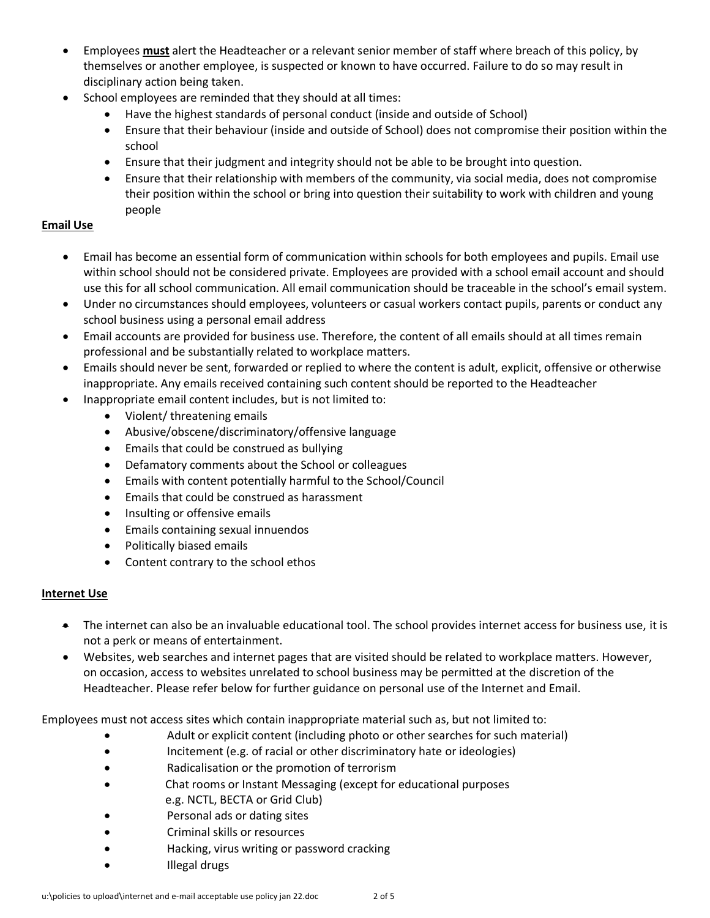- Employees **must** alert the Headteacher or a relevant senior member of staff where breach of this policy, by themselves or another employee, is suspected or known to have occurred. Failure to do so may result in disciplinary action being taken.
- School employees are reminded that they should at all times:
	- Have the highest standards of personal conduct (inside and outside of School)
	- Ensure that their behaviour (inside and outside of School) does not compromise their position within the school
	- Ensure that their judgment and integrity should not be able to be brought into question.
	- Ensure that their relationship with members of the community, via social media, does not compromise their position within the school or bring into question their suitability to work with children and young people

#### **Email Use**

- Email has become an essential form of communication within schools for both employees and pupils. Email use within school should not be considered private. Employees are provided with a school email account and should use this for all school communication. All email communication should be traceable in the school's email system.
- Under no circumstances should employees, volunteers or casual workers contact pupils, parents or conduct any school business using a personal email address
- Email accounts are provided for business use. Therefore, the content of all emails should at all times remain professional and be substantially related to workplace matters.
- Emails should never be sent, forwarded or replied to where the content is adult, explicit, offensive or otherwise inappropriate. Any emails received containing such content should be reported to the Headteacher
	- Inappropriate email content includes, but is not limited to:
		- Violent/ threatening emails
		- Abusive/obscene/discriminatory/offensive language
		- Emails that could be construed as bullying
		- Defamatory comments about the School or colleagues
		- Emails with content potentially harmful to the School/Council
		- Emails that could be construed as harassment
		- Insulting or offensive emails
		- Emails containing sexual innuendos
		- Politically biased emails
		- Content contrary to the school ethos

# **Internet Use**

- The internet can also be an invaluable educational tool. The school provides internet access for business use, it is not a perk or means of entertainment.
- Websites, web searches and internet pages that are visited should be related to workplace matters. However, on occasion, access to websites unrelated to school business may be permitted at the discretion of the Headteacher. Please refer below for further guidance on personal use of the Internet and Email.

Employees must not access sites which contain inappropriate material such as, but not limited to:

- Adult or explicit content (including photo or other searches for such material)
- Incitement (e.g. of racial or other discriminatory hate or ideologies)
- Radicalisation or the promotion of terrorism
- Chat rooms or Instant Messaging (except for educational purposes
- e.g. NCTL, BECTA or Grid Club)
- Personal ads or dating sites
- Criminal skills or resources
- Hacking, virus writing or password cracking
- Illegal drugs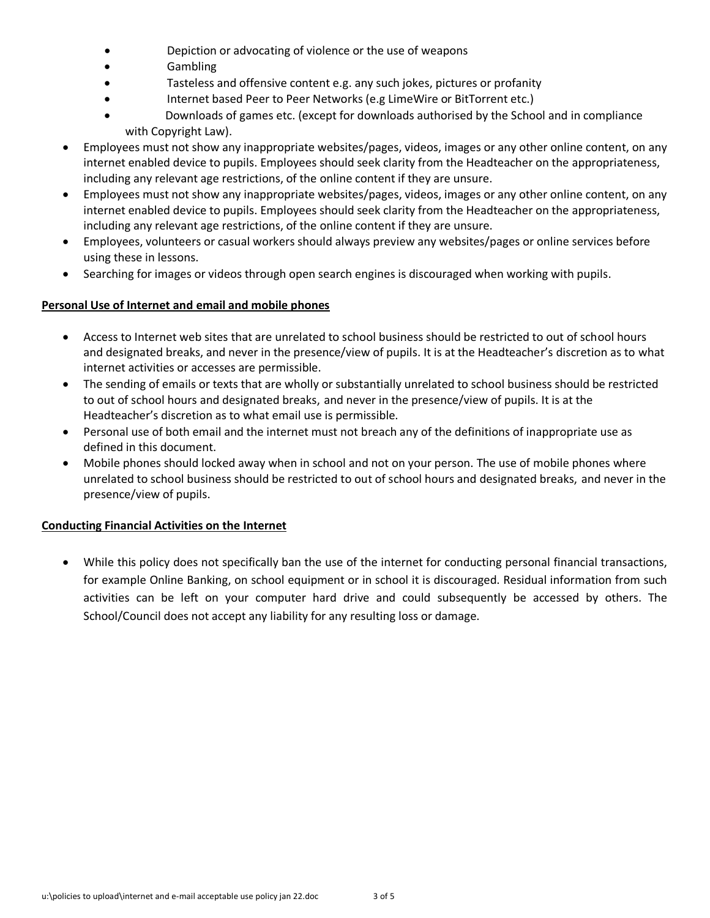- Depiction or advocating of violence or the use of weapons
- Gambling
- Tasteless and offensive content e.g. any such jokes, pictures or profanity
- Internet based Peer to Peer Networks (e.g LimeWire or BitTorrent etc.)
- Downloads of games etc. (except for downloads authorised by the School and in compliance with Copyright Law).
- Employees must not show any inappropriate websites/pages, videos, images or any other online content, on any internet enabled device to pupils. Employees should seek clarity from the Headteacher on the appropriateness, including any relevant age restrictions, of the online content if they are unsure.
- Employees must not show any inappropriate websites/pages, videos, images or any other online content, on any internet enabled device to pupils. Employees should seek clarity from the Headteacher on the appropriateness, including any relevant age restrictions, of the online content if they are unsure.
- Employees, volunteers or casual workers should always preview any websites/pages or online services before using these in lessons.
- Searching for images or videos through open search engines is discouraged when working with pupils.

# **Personal Use of Internet and email and mobile phones**

- Access to Internet web sites that are unrelated to school business should be restricted to out of school hours and designated breaks, and never in the presence/view of pupils. It is at the Headteacher's discretion as to what internet activities or accesses are permissible.
- The sending of emails or texts that are wholly or substantially unrelated to school business should be restricted to out of school hours and designated breaks, and never in the presence/view of pupils. It is at the Headteacher's discretion as to what email use is permissible.
- Personal use of both email and the internet must not breach any of the definitions of inappropriate use as defined in this document.
- Mobile phones should locked away when in school and not on your person. The use of mobile phones where unrelated to school business should be restricted to out of school hours and designated breaks, and never in the presence/view of pupils.

# **Conducting Financial Activities on the Internet**

• While this policy does not specifically ban the use of the internet for conducting personal financial transactions, for example Online Banking, on school equipment or in school it is discouraged. Residual information from such activities can be left on your computer hard drive and could subsequently be accessed by others. The School/Council does not accept any liability for any resulting loss or damage.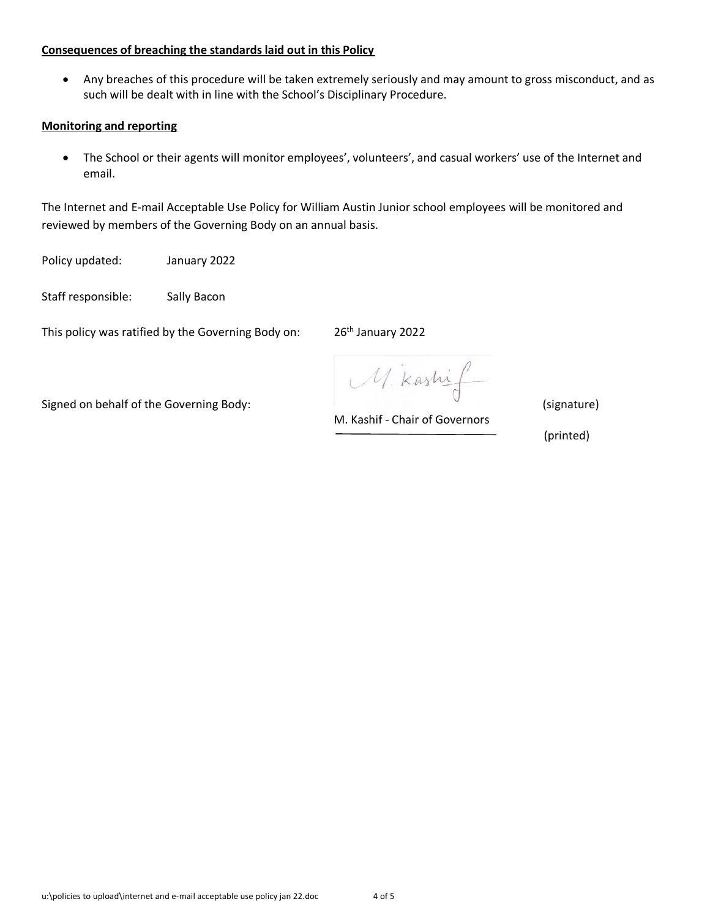#### **Consequences of breaching the standards laid out in this Policy**

• Any breaches of this procedure will be taken extremely seriously and may amount to gross misconduct, and as such will be dealt with in line with the School's Disciplinary Procedure.

#### **Monitoring and reporting**

• The School or their agents will monitor employees', volunteers', and casual workers' use of the Internet and email.

The Internet and E-mail Acceptable Use Policy for William Austin Junior school employees will be monitored and reviewed by members of the Governing Body on an annual basis.

Policy updated: January 2022

Staff responsible: Sally Bacon

This policy was ratified by the Governing Body on: 26<sup>th</sup> January 2022

M. Kashi

Signed on behalf of the Governing Body: The Society of the Governing Body: The Society of the Society of the Society of the Society of the Society of the Society of the Society of the Society of the Society of the Society

M. Kashif - Chair of Governors

(printed)